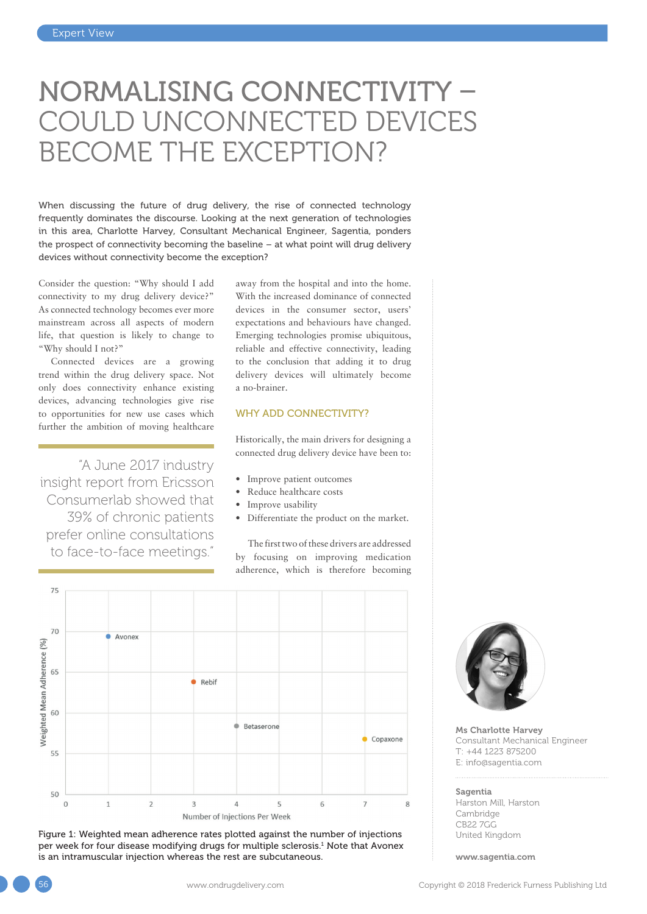# NORMALISING CONNECTIVITY – COULD UNCONNECTED DEVICES BECOME THE EXCEPTION?

When discussing the future of drug delivery, the rise of connected technology frequently dominates the discourse. Looking at the next generation of technologies in this area, Charlotte Harvey, Consultant Mechanical Engineer, Sagentia, ponders the prospect of connectivity becoming the baseline – at what point will drug delivery devices without connectivity become the exception?

Consider the question: "Why should I add connectivity to my drug delivery device?" As connected technology becomes ever more mainstream across all aspects of modern life, that question is likely to change to "Why should I not?"

Connected devices are a growing trend within the drug delivery space. Not only does connectivity enhance existing devices, advancing technologies give rise to opportunities for new use cases which further the ambition of moving healthcare

"A June 2017 industry insight report from Ericsson Consumerlab showed that 39% of chronic patients prefer online consultations to face-to-face meetings."

away from the hospital and into the home. With the increased dominance of connected devices in the consumer sector, users' expectations and behaviours have changed. Emerging technologies promise ubiquitous, reliable and effective connectivity, leading to the conclusion that adding it to drug delivery devices will ultimately become a no-brainer.

# WHY ADD CONNECTIVITY?

Historically, the main drivers for designing a connected drug delivery device have been to:

- Improve patient outcomes
- Reduce healthcare costs
- Improve usability
- Differentiate the product on the market.

The first two of these drivers are addressed by focusing on improving medication adherence, which is therefore becoming



Figure 1: Weighted mean adherence rates plotted against the number of injections per week for four disease modifying drugs for multiple sclerosis. $^1$  Note that Avonex is an intramuscular injection whereas the rest are subcutaneous.



Ms Charlotte Harvey Consultant Mechanical Engineer T: +44 1223 875200 E: [info@sagentia.com](mailto:info@sagentia.com)

#### Sagentia

Harston Mill, Harston Cambridge CB22 7GG United Kingdom

[www.sagentia.com](http://www.sagentia.com)

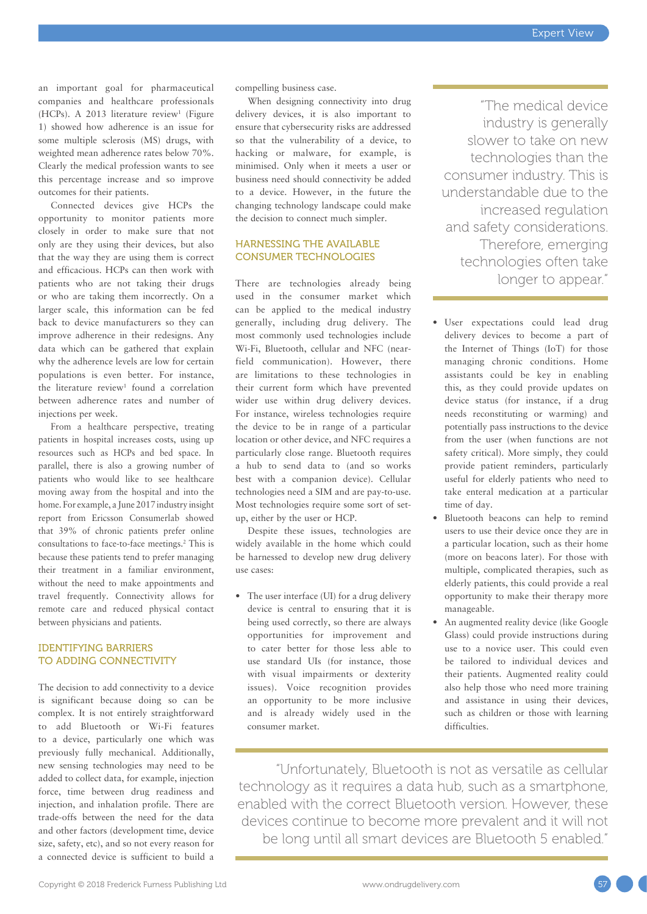an important goal for pharmaceutical companies and healthcare professionals  $(HCPs)$ . A 2013 literature review<sup>1</sup> (Figure 1) showed how adherence is an issue for some multiple sclerosis (MS) drugs, with weighted mean adherence rates below 70%. Clearly the medical profession wants to see this percentage increase and so improve outcomes for their patients.

Connected devices give HCPs the opportunity to monitor patients more closely in order to make sure that not only are they using their devices, but also that the way they are using them is correct and efficacious. HCPs can then work with patients who are not taking their drugs or who are taking them incorrectly. On a larger scale, this information can be fed back to device manufacturers so they can improve adherence in their redesigns. Any data which can be gathered that explain why the adherence levels are low for certain populations is even better. For instance, the literature review<sup>1</sup> found a correlation between adherence rates and number of injections per week.

From a healthcare perspective, treating patients in hospital increases costs, using up resources such as HCPs and bed space. In parallel, there is also a growing number of patients who would like to see healthcare moving away from the hospital and into the home. For example, a June 2017 industry insight report from Ericsson Consumerlab showed that 39% of chronic patients prefer online consultations to face-to-face meetings.2 This is because these patients tend to prefer managing their treatment in a familiar environment, without the need to make appointments and travel frequently. Connectivity allows for remote care and reduced physical contact between physicians and patients.

## IDENTIFYING BARRIERS TO ADDING CONNECTIVITY

The decision to add connectivity to a device is significant because doing so can be complex. It is not entirely straightforward to add Bluetooth or Wi-Fi features to a device, particularly one which was previously fully mechanical. Additionally, new sensing technologies may need to be added to collect data, for example, injection force, time between drug readiness and injection, and inhalation profile. There are trade-offs between the need for the data and other factors (development time, device size, safety, etc), and so not every reason for a connected device is sufficient to build a

compelling business case.

When designing connectivity into drug delivery devices, it is also important to ensure that cybersecurity risks are addressed so that the vulnerability of a device, to hacking or malware, for example, is minimised. Only when it meets a user or business need should connectivity be added to a device. However, in the future the changing technology landscape could make the decision to connect much simpler.

#### HARNESSING THE AVAILABLE CONSUMER TECHNOLOGIES

There are technologies already being used in the consumer market which can be applied to the medical industry generally, including drug delivery. The most commonly used technologies include Wi-Fi, Bluetooth, cellular and NFC (nearfield communication). However, there are limitations to these technologies in their current form which have prevented wider use within drug delivery devices. For instance, wireless technologies require the device to be in range of a particular location or other device, and NFC requires a particularly close range. Bluetooth requires a hub to send data to (and so works best with a companion device). Cellular technologies need a SIM and are pay-to-use. Most technologies require some sort of setup, either by the user or HCP.

Despite these issues, technologies are widely available in the home which could be harnessed to develop new drug delivery use cases:

• The user interface (UI) for a drug delivery device is central to ensuring that it is being used correctly, so there are always opportunities for improvement and to cater better for those less able to use standard UIs (for instance, those with visual impairments or dexterity issues). Voice recognition provides an opportunity to be more inclusive and is already widely used in the consumer market.

"The medical device industry is generally slower to take on new technologies than the consumer industry. This is understandable due to the increased regulation and safety considerations. Therefore, emerging technologies often take longer to appear."

- User expectations could lead drug delivery devices to become a part of the Internet of Things (IoT) for those managing chronic conditions. Home assistants could be key in enabling this, as they could provide updates on device status (for instance, if a drug needs reconstituting or warming) and potentially pass instructions to the device from the user (when functions are not safety critical). More simply, they could provide patient reminders, particularly useful for elderly patients who need to take enteral medication at a particular time of day.
- Bluetooth beacons can help to remind users to use their device once they are in a particular location, such as their home (more on beacons later). For those with multiple, complicated therapies, such as elderly patients, this could provide a real opportunity to make their therapy more manageable.
- An augmented reality device (like Google Glass) could provide instructions during use to a novice user. This could even be tailored to individual devices and their patients. Augmented reality could also help those who need more training and assistance in using their devices, such as children or those with learning difficulties.

"Unfortunately, Bluetooth is not as versatile as cellular technology as it requires a data hub, such as a smartphone, enabled with the correct Bluetooth version. However, these devices continue to become more prevalent and it will not be long until all smart devices are Bluetooth 5 enabled."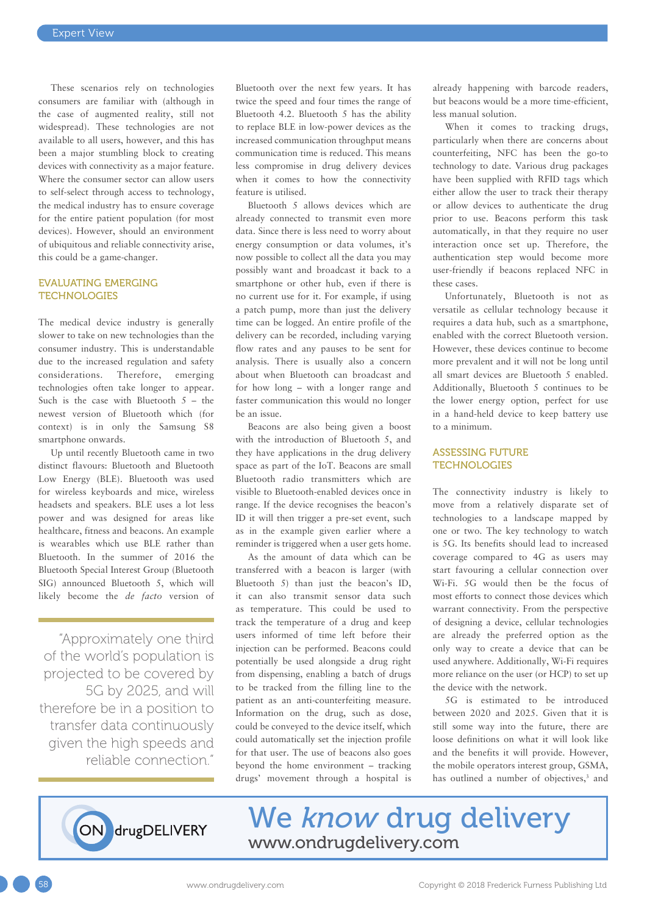These scenarios rely on technologies consumers are familiar with (although in the case of augmented reality, still not widespread). These technologies are not available to all users, however, and this has been a major stumbling block to creating devices with connectivity as a major feature. Where the consumer sector can allow users to self-select through access to technology, the medical industry has to ensure coverage for the entire patient population (for most devices). However, should an environment of ubiquitous and reliable connectivity arise, this could be a game-changer.

#### EVALUATING EMERGING **TECHNOLOGIES**

The medical device industry is generally slower to take on new technologies than the consumer industry. This is understandable due to the increased regulation and safety considerations. Therefore, emerging technologies often take longer to appear. Such is the case with Bluetooth  $5 -$  the newest version of Bluetooth which (for context) is in only the Samsung S8 smartphone onwards.

Up until recently Bluetooth came in two distinct flavours: Bluetooth and Bluetooth Low Energy (BLE). Bluetooth was used for wireless keyboards and mice, wireless headsets and speakers. BLE uses a lot less power and was designed for areas like healthcare, fitness and beacons. An example is wearables which use BLE rather than Bluetooth. In the summer of 2016 the Bluetooth Special Interest Group (Bluetooth SIG) announced Bluetooth 5, which will likely become the *de facto* version of

"Approximately one third of the world's population is projected to be covered by 5G by 2025, and will therefore be in a position to transfer data continuously given the high speeds and reliable connection."

Bluetooth over the next few years. It has twice the speed and four times the range of Bluetooth 4.2. Bluetooth 5 has the ability to replace BLE in low-power devices as the increased communication throughput means communication time is reduced. This means less compromise in drug delivery devices when it comes to how the connectivity feature is utilised.

Bluetooth 5 allows devices which are already connected to transmit even more data. Since there is less need to worry about energy consumption or data volumes, it's now possible to collect all the data you may possibly want and broadcast it back to a smartphone or other hub, even if there is no current use for it. For example, if using a patch pump, more than just the delivery time can be logged. An entire profile of the delivery can be recorded, including varying flow rates and any pauses to be sent for analysis. There is usually also a concern about when Bluetooth can broadcast and for how long – with a longer range and faster communication this would no longer be an issue.

Beacons are also being given a boost with the introduction of Bluetooth 5, and they have applications in the drug delivery space as part of the IoT. Beacons are small Bluetooth radio transmitters which are visible to Bluetooth-enabled devices once in range. If the device recognises the beacon's ID it will then trigger a pre-set event, such as in the example given earlier where a reminder is triggered when a user gets home.

As the amount of data which can be transferred with a beacon is larger (with Bluetooth 5) than just the beacon's ID, it can also transmit sensor data such as temperature. This could be used to track the temperature of a drug and keep users informed of time left before their injection can be performed. Beacons could potentially be used alongside a drug right from dispensing, enabling a batch of drugs to be tracked from the filling line to the patient as an anti-counterfeiting measure. Information on the drug, such as dose, could be conveyed to the device itself, which could automatically set the injection profile for that user. The use of beacons also goes beyond the home environment – tracking drugs' movement through a hospital is already happening with barcode readers, but beacons would be a more time-efficient, less manual solution.

When it comes to tracking drugs, particularly when there are concerns about counterfeiting, NFC has been the go-to technology to date. Various drug packages have been supplied with RFID tags which either allow the user to track their therapy or allow devices to authenticate the drug prior to use. Beacons perform this task automatically, in that they require no user interaction once set up. Therefore, the authentication step would become more user-friendly if beacons replaced NFC in these cases.

Unfortunately, Bluetooth is not as versatile as cellular technology because it requires a data hub, such as a smartphone, enabled with the correct Bluetooth version. However, these devices continue to become more prevalent and it will not be long until all smart devices are Bluetooth 5 enabled. Additionally, Bluetooth 5 continues to be the lower energy option, perfect for use in a hand-held device to keep battery use to a minimum.

### ASSESSING FUTURE **TECHNOLOGIES**

The connectivity industry is likely to move from a relatively disparate set of technologies to a landscape mapped by one or two. The key technology to watch is 5G. Its benefits should lead to increased coverage compared to 4G as users may start favouring a cellular connection over Wi-Fi. 5G would then be the focus of most efforts to connect those devices which warrant connectivity. From the perspective of designing a device, cellular technologies are already the preferred option as the only way to create a device that can be used anywhere. Additionally, Wi-Fi requires more reliance on the user (or HCP) to set up the device with the network.

5G is estimated to be introduced between 2020 and 2025. Given that it is still some way into the future, there are loose definitions on what it will look like and the benefits it will provide. However, the mobile operators interest group, GSMA, has outlined a number of objectives,<sup>3</sup> and



We know drug delivery [www.ondrugdelivery.com](http://www.ondrugdelivery.com)